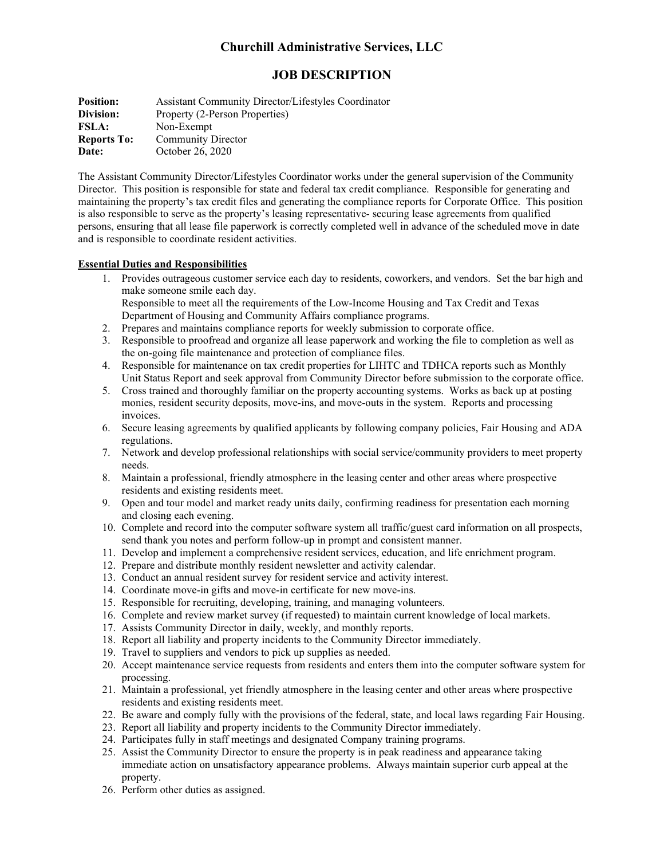# **Churchill Administrative Services, LLC**

# **JOB DESCRIPTION**

**Position:** Assistant Community Director/Lifestyles Coordinator **Division:** Property (2-Person Properties) **FSLA:** Non-Exempt<br>**Reports To:** Community D **Community Director Date:** October 26, 2020

The Assistant Community Director/Lifestyles Coordinator works under the general supervision of the Community Director. This position is responsible for state and federal tax credit compliance. Responsible for generating and maintaining the property's tax credit files and generating the compliance reports for Corporate Office. This position is also responsible to serve as the property's leasing representative- securing lease agreements from qualified persons, ensuring that all lease file paperwork is correctly completed well in advance of the scheduled move in date and is responsible to coordinate resident activities.

#### **Essential Duties and Responsibilities**

1. Provides outrageous customer service each day to residents, coworkers, and vendors. Set the bar high and make someone smile each day.

Responsible to meet all the requirements of the Low-Income Housing and Tax Credit and Texas Department of Housing and Community Affairs compliance programs.

- 2. Prepares and maintains compliance reports for weekly submission to corporate office.
- 3. Responsible to proofread and organize all lease paperwork and working the file to completion as well as the on-going file maintenance and protection of compliance files.
- 4. Responsible for maintenance on tax credit properties for LIHTC and TDHCA reports such as Monthly Unit Status Report and seek approval from Community Director before submission to the corporate office.
- 5. Cross trained and thoroughly familiar on the property accounting systems. Works as back up at posting monies, resident security deposits, move-ins, and move-outs in the system. Reports and processing invoices.
- 6. Secure leasing agreements by qualified applicants by following company policies, Fair Housing and ADA regulations.
- 7. Network and develop professional relationships with social service/community providers to meet property needs.
- 8. Maintain a professional, friendly atmosphere in the leasing center and other areas where prospective residents and existing residents meet.
- 9. Open and tour model and market ready units daily, confirming readiness for presentation each morning and closing each evening.
- 10. Complete and record into the computer software system all traffic/guest card information on all prospects, send thank you notes and perform follow-up in prompt and consistent manner.
- 11. Develop and implement a comprehensive resident services, education, and life enrichment program.
- 12. Prepare and distribute monthly resident newsletter and activity calendar.
- 13. Conduct an annual resident survey for resident service and activity interest.
- 14. Coordinate move-in gifts and move-in certificate for new move-ins.
- 15. Responsible for recruiting, developing, training, and managing volunteers.
- 16. Complete and review market survey (if requested) to maintain current knowledge of local markets.
- 17. Assists Community Director in daily, weekly, and monthly reports.
- 18. Report all liability and property incidents to the Community Director immediately.
- 19. Travel to suppliers and vendors to pick up supplies as needed.
- 20. Accept maintenance service requests from residents and enters them into the computer software system for processing.
- 21. Maintain a professional, yet friendly atmosphere in the leasing center and other areas where prospective residents and existing residents meet.
- 22. Be aware and comply fully with the provisions of the federal, state, and local laws regarding Fair Housing.
- 23. Report all liability and property incidents to the Community Director immediately.
- 24. Participates fully in staff meetings and designated Company training programs.
- 25. Assist the Community Director to ensure the property is in peak readiness and appearance taking immediate action on unsatisfactory appearance problems. Always maintain superior curb appeal at the property.
- 26. Perform other duties as assigned.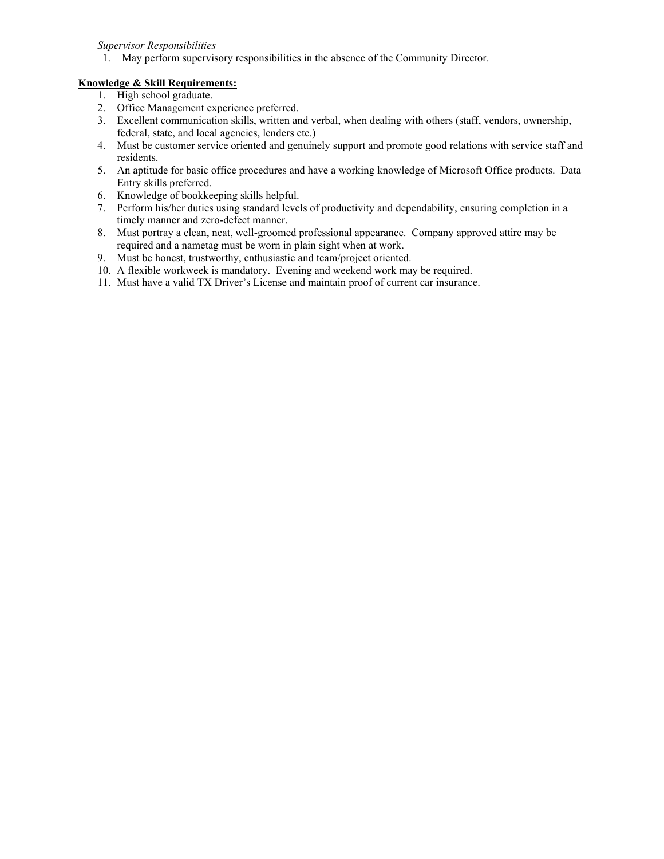*Supervisor Responsibilities*

1. May perform supervisory responsibilities in the absence of the Community Director.

#### **Knowledge & Skill Requirements:**

- 1. High school graduate.
- 2. Office Management experience preferred.
- 3. Excellent communication skills, written and verbal, when dealing with others (staff, vendors, ownership, federal, state, and local agencies, lenders etc.)
- 4. Must be customer service oriented and genuinely support and promote good relations with service staff and residents.
- 5. An aptitude for basic office procedures and have a working knowledge of Microsoft Office products. Data Entry skills preferred.
- 6. Knowledge of bookkeeping skills helpful.
- 7. Perform his/her duties using standard levels of productivity and dependability, ensuring completion in a timely manner and zero-defect manner.
- 8. Must portray a clean, neat, well-groomed professional appearance. Company approved attire may be required and a nametag must be worn in plain sight when at work.
- 9. Must be honest, trustworthy, enthusiastic and team/project oriented.
- 10. A flexible workweek is mandatory. Evening and weekend work may be required.
- 11. Must have a valid TX Driver's License and maintain proof of current car insurance.